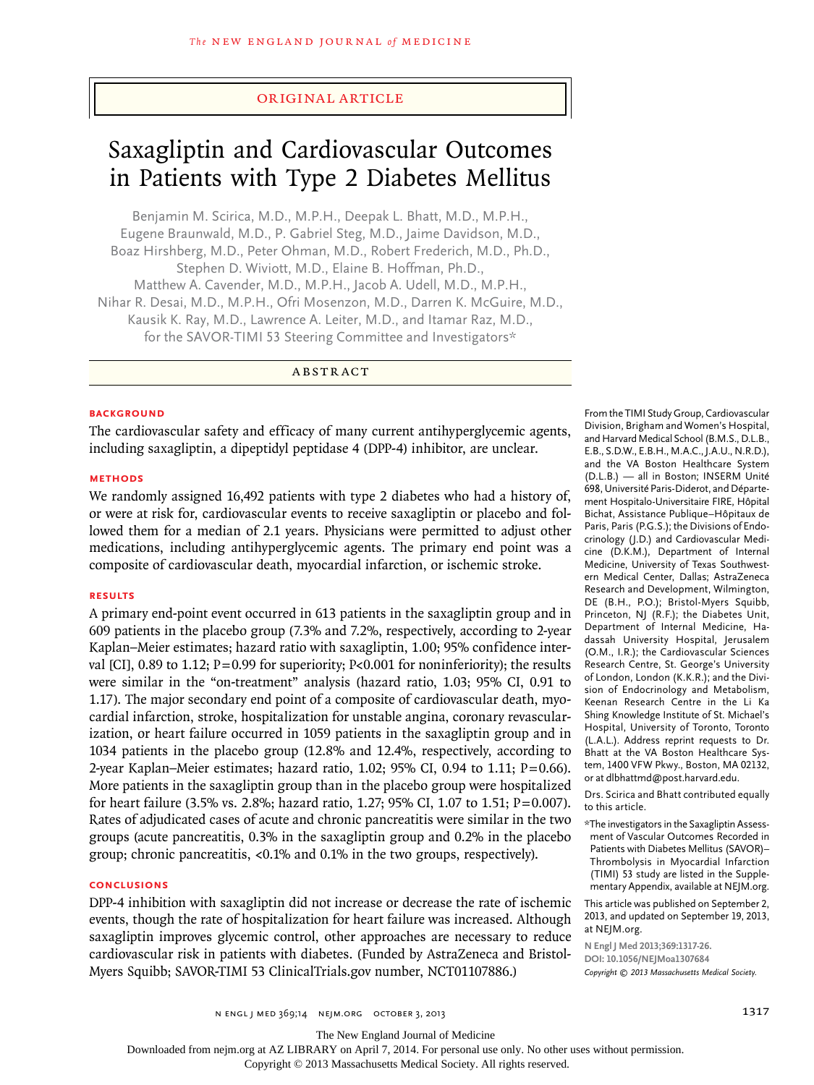## original article

# Saxagliptin and Cardiovascular Outcomes in Patients with Type 2 Diabetes Mellitus

Benjamin M. Scirica, M.D., M.P.H., Deepak L. Bhatt, M.D., M.P.H., Eugene Braunwald, M.D., P. Gabriel Steg, M.D., Jaime Davidson, M.D., Boaz Hirshberg, M.D., Peter Ohman, M.D., Robert Frederich, M.D., Ph.D., Stephen D. Wiviott, M.D., Elaine B. Hoffman, Ph.D., Matthew A. Cavender, M.D., M.P.H., Jacob A. Udell, M.D., M.P.H., Nihar R. Desai, M.D., M.P.H., Ofri Mosenzon, M.D., Darren K. McGuire, M.D., Kausik K. Ray, M.D., Lawrence A. Leiter, M.D., and Itamar Raz, M.D., for the SAVOR-TIMI 53 Steering Committee and Investigators\*

**ABSTRACT** 

#### **BACKGROUND**

The cardiovascular safety and efficacy of many current antihyperglycemic agents, including saxagliptin, a dipeptidyl peptidase 4 (DPP-4) inhibitor, are unclear.

## **Methods**

We randomly assigned 16,492 patients with type 2 diabetes who had a history of, or were at risk for, cardiovascular events to receive saxagliptin or placebo and followed them for a median of 2.1 years. Physicians were permitted to adjust other medications, including antihyperglycemic agents. The primary end point was a composite of cardiovascular death, myocardial infarction, or ischemic stroke.

#### **Results**

A primary end-point event occurred in 613 patients in the saxagliptin group and in 609 patients in the placebo group (7.3% and 7.2%, respectively, according to 2-year Kaplan–Meier estimates; hazard ratio with saxagliptin, 1.00; 95% confidence interval [CI], 0.89 to 1.12;  $P=0.99$  for superiority; P<0.001 for noninferiority); the results were similar in the "on-treatment" analysis (hazard ratio, 1.03; 95% CI, 0.91 to 1.17). The major secondary end point of a composite of cardiovascular death, myocardial infarction, stroke, hospitalization for unstable angina, coronary revascularization, or heart failure occurred in 1059 patients in the saxagliptin group and in 1034 patients in the placebo group (12.8% and 12.4%, respectively, according to 2-year Kaplan–Meier estimates; hazard ratio,  $1.02$ ; 95% CI, 0.94 to  $1.11$ ; P=0.66). More patients in the saxagliptin group than in the placebo group were hospitalized for heart failure (3.5% vs. 2.8%; hazard ratio, 1.27; 95% CI, 1.07 to 1.51; P=0.007). Rates of adjudicated cases of acute and chronic pancreatitis were similar in the two groups (acute pancreatitis, 0.3% in the saxagliptin group and 0.2% in the placebo group; chronic pancreatitis, <0.1% and 0.1% in the two groups, respectively).

# **Conclusions**

DPP-4 inhibition with saxagliptin did not increase or decrease the rate of ischemic events, though the rate of hospitalization for heart failure was increased. Although saxagliptin improves glycemic control, other approaches are necessary to reduce cardiovascular risk in patients with diabetes. (Funded by AstraZeneca and Bristol-Myers Squibb; SAVOR-TIMI 53 ClinicalTrials.gov number, NCT01107886.)

From the TIMI Study Group, Cardiovascular Division, Brigham and Women's Hospital, and Harvard Medical School (B.M.S., D.L.B., E.B., S.D.W., E.B.H., M.A.C., J.A.U., N.R.D.), and the VA Boston Healthcare System (D.L.B.) — all in Boston; INSERM Unité 698, Université Paris-Diderot, and Département Hospitalo-Universitaire FIRE, Hôpital Bichat, Assistance Publique–Hôpitaux de Paris, Paris (P.G.S.); the Divisions of Endocrinology (J.D.) and Cardiovascular Medicine (D.K.M.), Department of Internal Medicine, University of Texas Southwestern Medical Center, Dallas; AstraZeneca Research and Development, Wilmington, DE (B.H., P.O.); Bristol-Myers Squibb, Princeton, NJ (R.F.); the Diabetes Unit, Department of Internal Medicine, Hadassah University Hospital, Jerusalem (O.M., I.R.); the Cardiovascular Sciences Research Centre, St. George's University of London, London (K.K.R.); and the Division of Endocrinology and Metabolism, Keenan Research Centre in the Li Ka Shing Knowledge Institute of St. Michael's Hospital, University of Toronto, Toronto (L.A.L.). Address reprint requests to Dr. Bhatt at the VA Boston Healthcare System, 1400 VFW Pkwy., Boston, MA 02132, or at dlbhattmd@post.harvard.edu.

Drs. Scirica and Bhatt contributed equally to this article.

\*The investigators in the Saxagliptin Assessment of Vascular Outcomes Recorded in Patients with Diabetes Mellitus (SAVOR)– Thrombolysis in Myocardial Infarction (TIMI) 53 study are listed in the Supplementary Appendix, available at NEJM.org.

This article was published on September 2, 2013, and updated on September 19, 2013, at NEJM.org.

**N Engl J Med 2013;369:1317-26. DOI: 10.1056/NEJMoa1307684** *Copyright © 2013 Massachusetts Medical Society.*

The New England Journal of Medicine

Downloaded from nejm.org at AZ LIBRARY on April 7, 2014. For personal use only. No other uses without permission.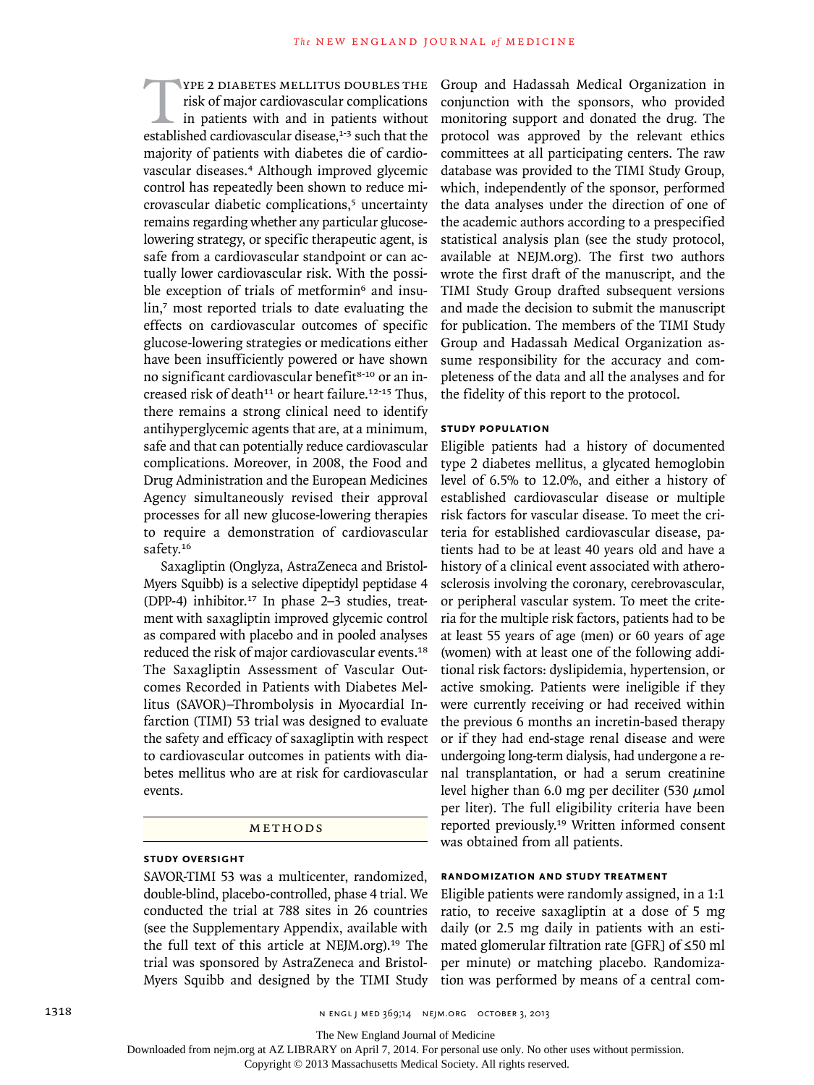THE THE THE THE THE THE THE THE TISK OF MAJOR CONSULT US DOUBLES THE TISK Of major cardiovascular disease,<sup>1-3</sup> such that the risk of major cardiovascular complications in patients with and in patients without majority of patients with diabetes die of cardiovascular diseases.4 Although improved glycemic control has repeatedly been shown to reduce microvascular diabetic complications,<sup>5</sup> uncertainty remains regarding whether any particular glucoselowering strategy, or specific therapeutic agent, is safe from a cardiovascular standpoint or can actually lower cardiovascular risk. With the possible exception of trials of metformin<sup>6</sup> and insulin,<sup>7</sup> most reported trials to date evaluating the effects on cardiovascular outcomes of specific glucose-lowering strategies or medications either have been insufficiently powered or have shown no significant cardiovascular benefit<sup>8-10</sup> or an increased risk of death<sup>11</sup> or heart failure.<sup>12-15</sup> Thus, there remains a strong clinical need to identify antihyperglycemic agents that are, at a minimum, safe and that can potentially reduce cardiovascular complications. Moreover, in 2008, the Food and Drug Administration and the European Medicines Agency simultaneously revised their approval processes for all new glucose-lowering therapies to require a demonstration of cardiovascular safety.<sup>16</sup>

Saxagliptin (Onglyza, AstraZeneca and Bristol-Myers Squibb) is a selective dipeptidyl peptidase 4 (DPP-4) inhibitor.17 In phase 2–3 studies, treatment with saxagliptin improved glycemic control as compared with placebo and in pooled analyses reduced the risk of major cardiovascular events.<sup>18</sup> The Saxagliptin Assessment of Vascular Outcomes Recorded in Patients with Diabetes Mellitus (SAVOR)–Thrombolysis in Myocardial Infarction (TIMI) 53 trial was designed to evaluate the safety and efficacy of saxagliptin with respect to cardiovascular outcomes in patients with diabetes mellitus who are at risk for cardiovascular events.

#### METHODS

# **Study Oversight**

SAVOR-TIMI 53 was a multicenter, randomized, double-blind, placebo-controlled, phase 4 trial. We conducted the trial at 788 sites in 26 countries (see the Supplementary Appendix, available with the full text of this article at NEJM.org).19 The trial was sponsored by AstraZeneca and Bristol-Myers Squibb and designed by the TIMI Study Group and Hadassah Medical Organization in conjunction with the sponsors, who provided monitoring support and donated the drug. The protocol was approved by the relevant ethics committees at all participating centers. The raw database was provided to the TIMI Study Group, which, independently of the sponsor, performed the data analyses under the direction of one of the academic authors according to a prespecified statistical analysis plan (see the study protocol, available at NEJM.org). The first two authors wrote the first draft of the manuscript, and the TIMI Study Group drafted subsequent versions and made the decision to submit the manuscript for publication. The members of the TIMI Study Group and Hadassah Medical Organization assume responsibility for the accuracy and completeness of the data and all the analyses and for the fidelity of this report to the protocol.

## **Study Population**

Eligible patients had a history of documented type 2 diabetes mellitus, a glycated hemoglobin level of 6.5% to 12.0%, and either a history of established cardiovascular disease or multiple risk factors for vascular disease. To meet the criteria for established cardiovascular disease, patients had to be at least 40 years old and have a history of a clinical event associated with atherosclerosis involving the coronary, cerebrovascular, or peripheral vascular system. To meet the criteria for the multiple risk factors, patients had to be at least 55 years of age (men) or 60 years of age (women) with at least one of the following additional risk factors: dyslipidemia, hypertension, or active smoking. Patients were ineligible if they were currently receiving or had received within the previous 6 months an incretin-based therapy or if they had end-stage renal disease and were undergoing long-term dialysis, had undergone a renal transplantation, or had a serum creatinine level higher than 6.0 mg per deciliter (530  $\mu$ mol per liter). The full eligibility criteria have been reported previously.19 Written informed consent was obtained from all patients.

## **Randomization and Study Treatment**

Eligible patients were randomly assigned, in a 1:1 ratio, to receive saxagliptin at a dose of 5 mg daily (or 2.5 mg daily in patients with an estimated glomerular filtration rate [GFR] of ≤50 ml per minute) or matching placebo. Randomization was performed by means of a central com-

The New England Journal of Medicine

Downloaded from nejm.org at AZ LIBRARY on April 7, 2014. For personal use only. No other uses without permission.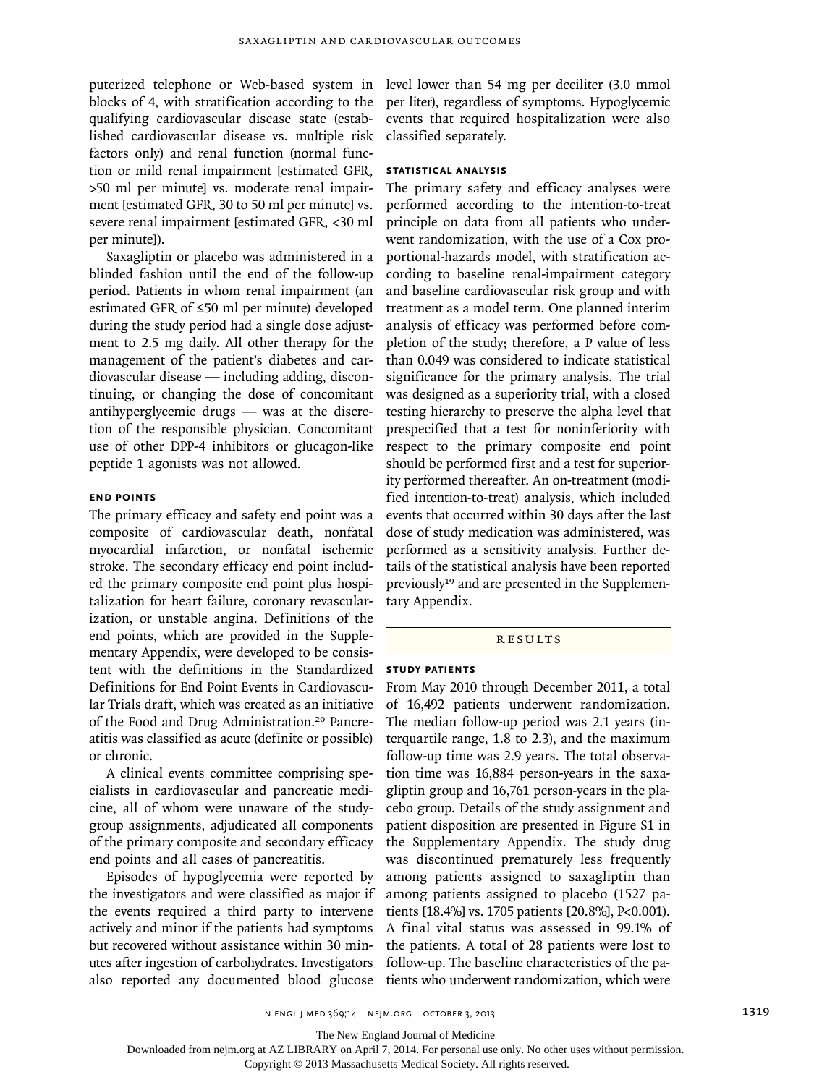puterized telephone or Web-based system in blocks of 4, with stratification according to the qualifying cardiovascular disease state (established cardiovascular disease vs. multiple risk factors only) and renal function (normal function or mild renal impairment [estimated GFR, >50 ml per minute] vs. moderate renal impairment [estimated GFR, 30 to 50 ml per minute] vs. severe renal impairment [estimated GFR, <30 ml per minute]).

Saxagliptin or placebo was administered in a blinded fashion until the end of the follow-up period. Patients in whom renal impairment (an estimated GFR of ≤50 ml per minute) developed during the study period had a single dose adjustment to 2.5 mg daily. All other therapy for the management of the patient's diabetes and cardiovascular disease — including adding, discontinuing, or changing the dose of concomitant antihyperglycemic drugs — was at the discretion of the responsible physician. Concomitant use of other DPP-4 inhibitors or glucagon-like peptide 1 agonists was not allowed.

## **End Points**

The primary efficacy and safety end point was a composite of cardiovascular death, nonfatal myocardial infarction, or nonfatal ischemic stroke. The secondary efficacy end point included the primary composite end point plus hospitalization for heart failure, coronary revascularization, or unstable angina. Definitions of the end points, which are provided in the Supplementary Appendix, were developed to be consistent with the definitions in the Standardized Definitions for End Point Events in Cardiovascular Trials draft, which was created as an initiative of the Food and Drug Administration.<sup>20</sup> Pancreatitis was classified as acute (definite or possible) or chronic.

A clinical events committee comprising specialists in cardiovascular and pancreatic medicine, all of whom were unaware of the studygroup assignments, adjudicated all components of the primary composite and secondary efficacy end points and all cases of pancreatitis.

Episodes of hypoglycemia were reported by the investigators and were classified as major if the events required a third party to intervene actively and minor if the patients had symptoms but recovered without assistance within 30 minutes after ingestion of carbohydrates. Investigators also reported any documented blood glucose

level lower than 54 mg per deciliter (3.0 mmol per liter), regardless of symptoms. Hypoglycemic events that required hospitalization were also classified separately.

## **Statistical Analysis**

The primary safety and efficacy analyses were performed according to the intention-to-treat principle on data from all patients who underwent randomization, with the use of a Cox proportional-hazards model, with stratification according to baseline renal-impairment category and baseline cardiovascular risk group and with treatment as a model term. One planned interim analysis of efficacy was performed before completion of the study; therefore, a P value of less than 0.049 was considered to indicate statistical significance for the primary analysis. The trial was designed as a superiority trial, with a closed testing hierarchy to preserve the alpha level that prespecified that a test for noninferiority with respect to the primary composite end point should be performed first and a test for superiority performed thereafter. An on-treatment (modified intention-to-treat) analysis, which included events that occurred within 30 days after the last dose of study medication was administered, was performed as a sensitivity analysis. Further details of the statistical analysis have been reported previously<sup>19</sup> and are presented in the Supplementary Appendix.

#### **RESULTS**

#### **Study Patients**

From May 2010 through December 2011, a total of 16,492 patients underwent randomization. The median follow-up period was 2.1 years (interquartile range, 1.8 to 2.3), and the maximum follow-up time was 2.9 years. The total observation time was 16,884 person-years in the saxagliptin group and 16,761 person-years in the placebo group. Details of the study assignment and patient disposition are presented in Figure S1 in the Supplementary Appendix. The study drug was discontinued prematurely less frequently among patients assigned to saxagliptin than among patients assigned to placebo (1527 patients [18.4%] vs. 1705 patients [20.8%], P<0.001). A final vital status was assessed in 99.1% of the patients. A total of 28 patients were lost to follow-up. The baseline characteristics of the patients who underwent randomization, which were

The New England Journal of Medicine

Downloaded from nejm.org at AZ LIBRARY on April 7, 2014. For personal use only. No other uses without permission.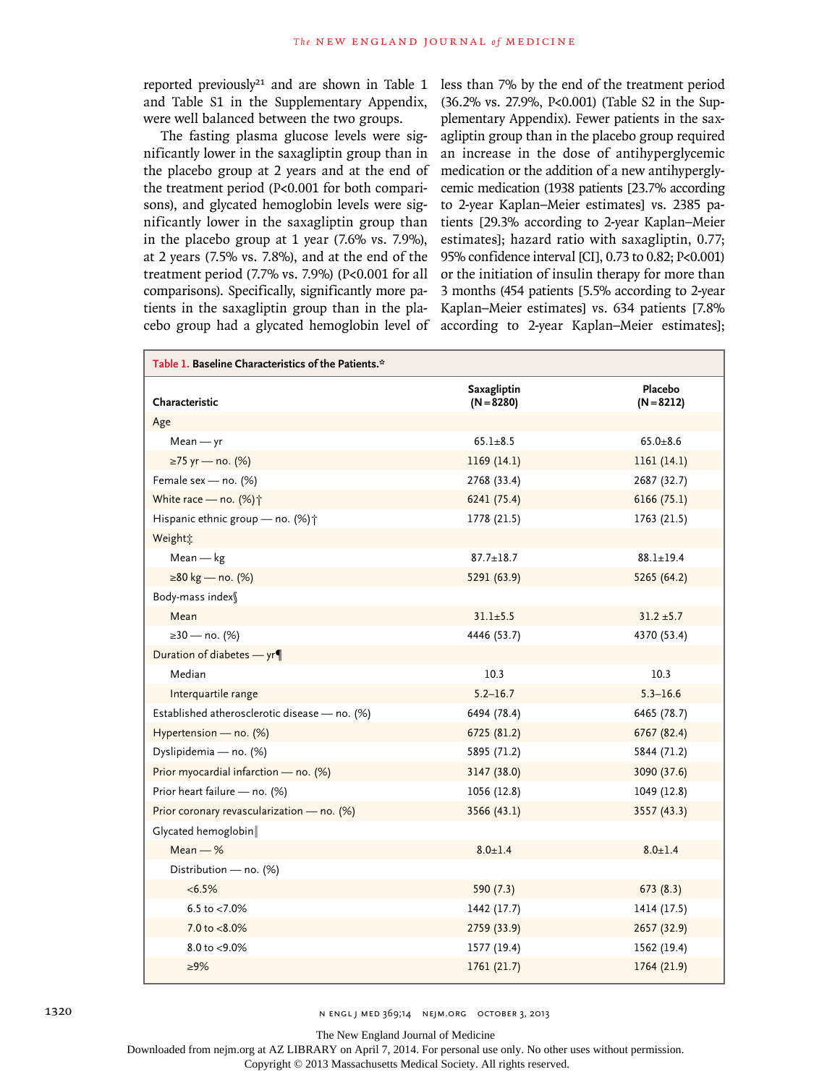reported previously<sup>21</sup> and are shown in Table 1 and Table S1 in the Supplementary Appendix, were well balanced between the two groups.

The fasting plasma glucose levels were significantly lower in the saxagliptin group than in the placebo group at 2 years and at the end of the treatment period (P<0.001 for both comparisons), and glycated hemoglobin levels were significantly lower in the saxagliptin group than in the placebo group at 1 year (7.6% vs. 7.9%), at 2 years (7.5% vs. 7.8%), and at the end of the treatment period (7.7% vs. 7.9%) (P<0.001 for all comparisons). Specifically, significantly more patients in the saxagliptin group than in the placebo group had a glycated hemoglobin level of

less than 7% by the end of the treatment period (36.2% vs. 27.9%, P<0.001) (Table S2 in the Supplementary Appendix). Fewer patients in the saxagliptin group than in the placebo group required an increase in the dose of antihyperglycemic medication or the addition of a new antihyperglycemic medication (1938 patients [23.7% according to 2-year Kaplan–Meier estimates] vs. 2385 patients [29.3% according to 2-year Kaplan–Meier estimates]; hazard ratio with saxagliptin, 0.77; 95% confidence interval [CI], 0.73 to 0.82; P<0.001) or the initiation of insulin therapy for more than 3 months (454 patients [5.5% according to 2-year Kaplan–Meier estimates] vs. 634 patients [7.8% according to 2-year Kaplan–Meier estimates];

| Table 1. Baseline Characteristics of the Patients.* |                             |                         |  |  |  |
|-----------------------------------------------------|-----------------------------|-------------------------|--|--|--|
| Characteristic                                      | Saxagliptin<br>$(N = 8280)$ | Placebo<br>$(N = 8212)$ |  |  |  |
| Age                                                 |                             |                         |  |  |  |
| $Mean - yr$                                         | $65.1 + 8.5$                | $65.0 + 8.6$            |  |  |  |
| ≥75 yr — no. (%)                                    | 1169(14.1)                  | 1161(14.1)              |  |  |  |
| Female sex - no. (%)                                | 2768 (33.4)                 | 2687 (32.7)             |  |  |  |
| White race - no. (%) <sup>+</sup>                   | 6241 (75.4)                 | 6166(75.1)              |  |  |  |
| Hispanic ethnic group - no. (%) <sup>+</sup>        | 1778 (21.5)                 | 1763 (21.5)             |  |  |  |
| Weightt                                             |                             |                         |  |  |  |
| $Mean - kg$                                         | $87.7 \pm 18.7$             | $88.1 \pm 19.4$         |  |  |  |
| ≥80 kg — no. (%)                                    | 5291 (63.9)                 | 5265 (64.2)             |  |  |  |
| Body-mass index§                                    |                             |                         |  |  |  |
| Mean                                                | $31.1 \pm 5.5$              | $31.2 \pm 5.7$          |  |  |  |
| ≥30 — no. (%)                                       | 4446 (53.7)                 | 4370 (53.4)             |  |  |  |
| Duration of diabetes - yr¶                          |                             |                         |  |  |  |
| Median                                              | 10.3                        | 10.3                    |  |  |  |
| Interquartile range                                 | $5.2 - 16.7$                | $5.3 - 16.6$            |  |  |  |
| Established atherosclerotic disease - no. (%)       | 6494 (78.4)                 | 6465 (78.7)             |  |  |  |
| Hypertension - no. (%)                              | 6725 (81.2)                 | 6767 (82.4)             |  |  |  |
| Dyslipidemia - no. (%)                              | 5895 (71.2)                 | 5844 (71.2)             |  |  |  |
| Prior myocardial infarction - no. (%)               | 3147 (38.0)                 | 3090 (37.6)             |  |  |  |
| Prior heart failure - no. (%)                       | 1056 (12.8)                 | 1049 (12.8)             |  |  |  |
| Prior coronary revascularization - no. (%)          | 3566 (43.1)                 | 3557 (43.3)             |  |  |  |
| Glycated hemoglobin                                 |                             |                         |  |  |  |
| Mean $-$ %                                          | $8.0 \pm 1.4$               | $8.0 \pm 1.4$           |  |  |  |
| Distribution - no. (%)                              |                             |                         |  |  |  |
| $< 6.5\%$                                           | 590 (7.3)                   | 673(8.3)                |  |  |  |
| 6.5 to $<$ 7.0%                                     | 1442 (17.7)                 | 1414 (17.5)             |  |  |  |
| 7.0 to <8.0%                                        | 2759 (33.9)                 | 2657 (32.9)             |  |  |  |
| $8.0$ to $< 9.0\%$                                  | 1577 (19.4)                 | 1562 (19.4)             |  |  |  |
| $\geq 9\%$                                          | 1761(21.7)                  | 1764 (21.9)             |  |  |  |

1320 **n engl j med 369;14 NEIM.ORG OCTOBER 3, 2013** 

The New England Journal of Medicine

Downloaded from nejm.org at AZ LIBRARY on April 7, 2014. For personal use only. No other uses without permission.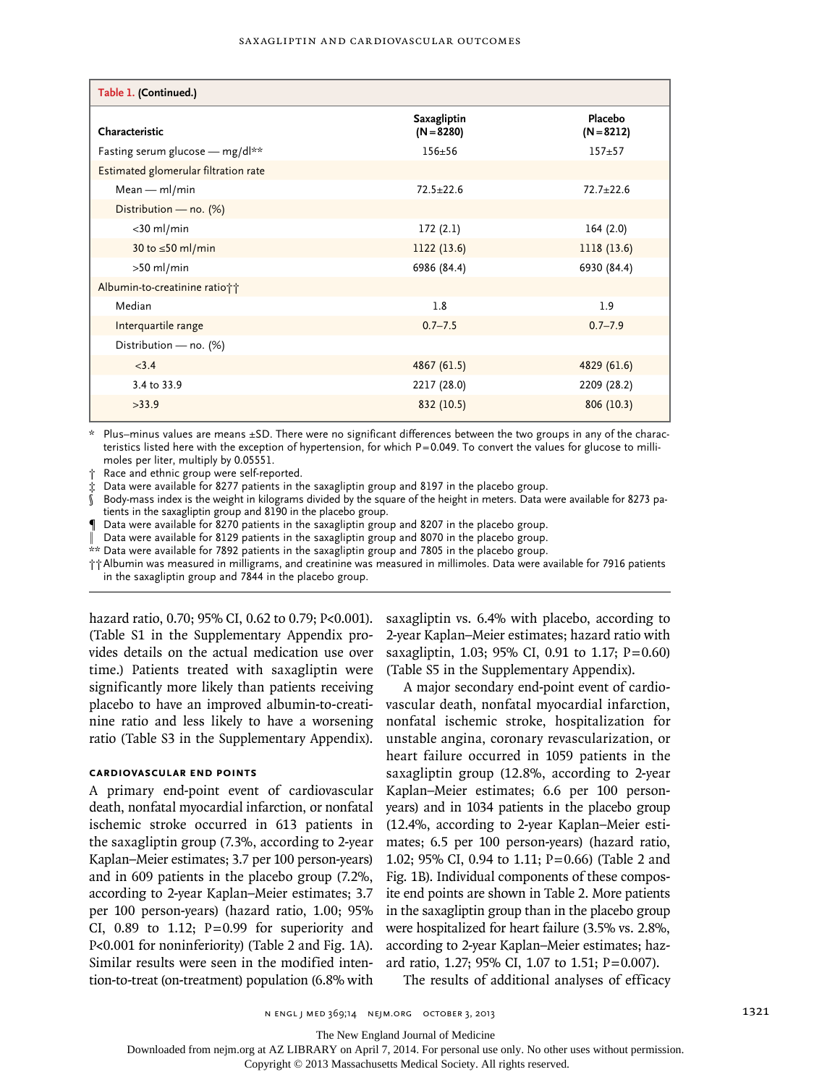| Table 1. (Continued.)                |                                    |                         |  |  |  |
|--------------------------------------|------------------------------------|-------------------------|--|--|--|
| Characteristic                       | <b>Saxagliptin</b><br>$(N = 8280)$ | Placebo<br>$(N = 8212)$ |  |  |  |
| Fasting serum glucose - mg/dl**      | $156 + 56$                         | $157 + 57$              |  |  |  |
| Estimated glomerular filtration rate |                                    |                         |  |  |  |
| $Mean - ml/min$                      | $72.5 + 22.6$                      | $72.7 + 22.6$           |  |  |  |
| Distribution - no. (%)               |                                    |                         |  |  |  |
| $<$ 30 ml/min                        | 172(2.1)                           | 164(2.0)                |  |  |  |
| 30 to $\leq$ 50 ml/min               | 1122(13.6)                         | 1118(13.6)              |  |  |  |
| $>50$ ml/min                         | 6986 (84.4)                        | 6930 (84.4)             |  |  |  |
| Albumin-to-creatinine ratio††        |                                    |                         |  |  |  |
| Median                               | 1.8                                | 1.9                     |  |  |  |
| Interquartile range                  | $0.7 - 7.5$                        | $0.7 - 7.9$             |  |  |  |
| Distribution - no. (%)               |                                    |                         |  |  |  |
| < 3.4                                | 4867 (61.5)                        | 4829 (61.6)             |  |  |  |
| 3.4 to 33.9                          | 2217 (28.0)                        | 2209 (28.2)             |  |  |  |
| >33.9                                | 832 (10.5)                         | 806(10.3)               |  |  |  |

Plus–minus values are means  $\pm$ SD. There were no significant differences between the two groups in any of the characteristics listed here with the exception of hypertension, for which P=0.049. To convert the values for glucose to millimoles per liter, multiply by 0.05551.

† Race and ethnic group were self-reported.

‡ Data were available for 8277 patients in the saxagliptin group and 8197 in the placebo group.

§ Body-mass index is the weight in kilograms divided by the square of the height in meters. Data were available for 8273 patients in the saxagliptin group and 8190 in the placebo group.

¶ Data were available for 8270 patients in the saxagliptin group and 8207 in the placebo group.

Data were available for 8129 patients in the saxagliptin group and 8070 in the placebo group.

\*\* Data were available for 7892 patients in the saxagliptin group and 7805 in the placebo group.

††Albumin was measured in milligrams, and creatinine was measured in millimoles. Data were available for 7916 patients in the saxagliptin group and 7844 in the placebo group.

hazard ratio, 0.70; 95% CI, 0.62 to 0.79; P<0.001). (Table S1 in the Supplementary Appendix provides details on the actual medication use over time.) Patients treated with saxagliptin were significantly more likely than patients receiving placebo to have an improved albumin-to-creatinine ratio and less likely to have a worsening ratio (Table S3 in the Supplementary Appendix).

## **Cardiovascular End Points**

A primary end-point event of cardiovascular death, nonfatal myocardial infarction, or nonfatal ischemic stroke occurred in 613 patients in the saxagliptin group (7.3%, according to 2-year Kaplan–Meier estimates; 3.7 per 100 person-years) and in 609 patients in the placebo group (7.2%, according to 2-year Kaplan–Meier estimates; 3.7 per 100 person-years) (hazard ratio, 1.00; 95% CI,  $0.89$  to 1.12;  $P=0.99$  for superiority and P<0.001 for noninferiority) (Table 2 and Fig. 1A). Similar results were seen in the modified intention-to-treat (on-treatment) population (6.8% with

saxagliptin vs. 6.4% with placebo, according to 2-year Kaplan–Meier estimates; hazard ratio with saxagliptin, 1.03; 95% CI, 0.91 to 1.17; P=0.60) (Table S5 in the Supplementary Appendix).

A major secondary end-point event of cardiovascular death, nonfatal myocardial infarction, nonfatal ischemic stroke, hospitalization for unstable angina, coronary revascularization, or heart failure occurred in 1059 patients in the saxagliptin group (12.8%, according to 2-year Kaplan–Meier estimates; 6.6 per 100 personyears) and in 1034 patients in the placebo group (12.4%, according to 2-year Kaplan–Meier estimates; 6.5 per 100 person-years) (hazard ratio, 1.02; 95% CI, 0.94 to 1.11; P=0.66) (Table 2 and Fig. 1B). Individual components of these composite end points are shown in Table 2. More patients in the saxagliptin group than in the placebo group were hospitalized for heart failure (3.5% vs. 2.8%, according to 2-year Kaplan–Meier estimates; hazard ratio, 1.27; 95% CI, 1.07 to 1.51; P=0.007).

The results of additional analyses of efficacy

The New England Journal of Medicine

Downloaded from nejm.org at AZ LIBRARY on April 7, 2014. For personal use only. No other uses without permission.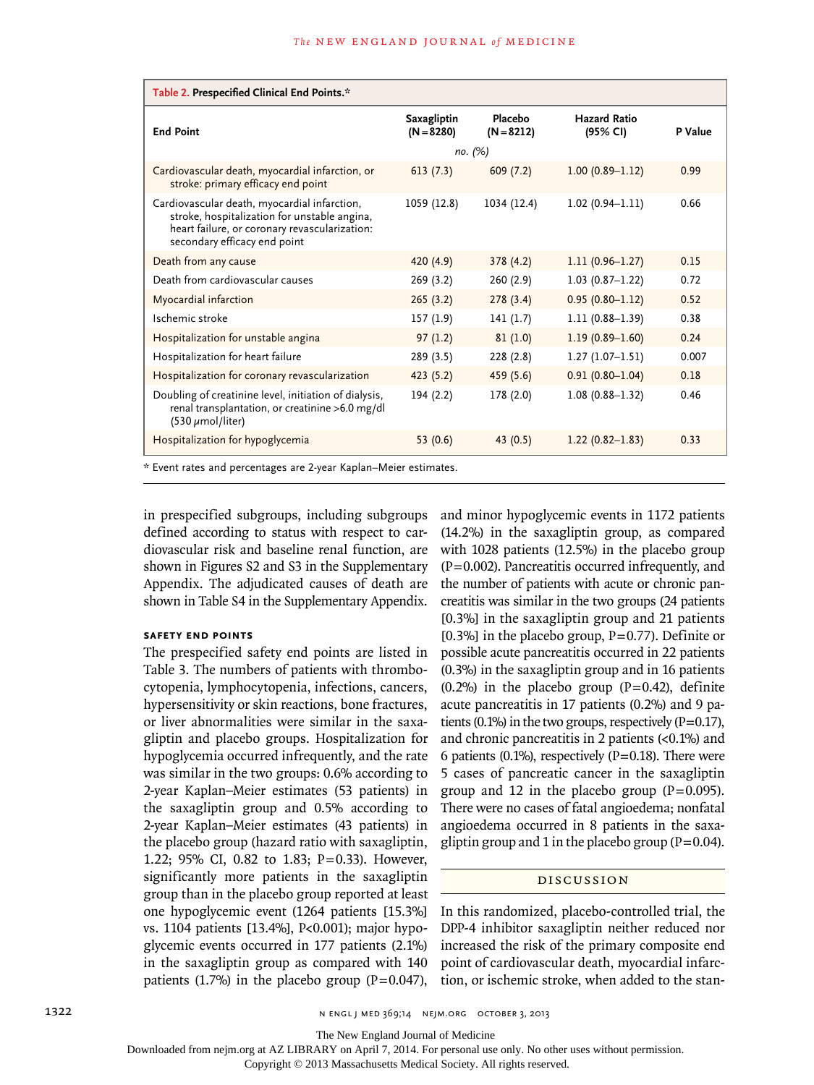| Table 2. Prespecified Clinical End Points.*                                                                                                                                   |                                    |                         |                                 |         |  |  |
|-------------------------------------------------------------------------------------------------------------------------------------------------------------------------------|------------------------------------|-------------------------|---------------------------------|---------|--|--|
| <b>End Point</b>                                                                                                                                                              | <b>Saxagliptin</b><br>$(N = 8280)$ | Placebo<br>$(N = 8212)$ | <b>Hazard Ratio</b><br>(95% CI) | P Value |  |  |
|                                                                                                                                                                               | no. (%)                            |                         |                                 |         |  |  |
| Cardiovascular death, myocardial infarction, or<br>stroke: primary efficacy end point                                                                                         | 613(7.3)                           | 609(7.2)                | $1.00(0.89 - 1.12)$             | 0.99    |  |  |
| Cardiovascular death, myocardial infarction,<br>stroke, hospitalization for unstable angina,<br>heart failure, or coronary revascularization:<br>secondary efficacy end point | 1059 (12.8)                        | 1034 (12.4)             | $1.02(0.94 - 1.11)$             | 0.66    |  |  |
| Death from any cause                                                                                                                                                          | 420 (4.9)                          | 378(4.2)                | $1.11(0.96 - 1.27)$             | 0.15    |  |  |
| Death from cardiovascular causes                                                                                                                                              | 269(3.2)                           | 260(2.9)                | $1.03(0.87-1.22)$               | 0.72    |  |  |
| Myocardial infarction                                                                                                                                                         | 265(3.2)                           | 278(3.4)                | $0.95(0.80 - 1.12)$             | 0.52    |  |  |
| Ischemic stroke                                                                                                                                                               | 157(1.9)                           | 141(1.7)                | $1.11(0.88 - 1.39)$             | 0.38    |  |  |
| Hospitalization for unstable angina                                                                                                                                           | 97(1.2)                            | 81(1.0)                 | $1.19(0.89 - 1.60)$             | 0.24    |  |  |
| Hospitalization for heart failure                                                                                                                                             | 289 (3.5)                          | 228(2.8)                | $1.27(1.07-1.51)$               | 0.007   |  |  |
| Hospitalization for coronary revascularization                                                                                                                                | 423(5.2)                           | 459 (5.6)               | $0.91(0.80 - 1.04)$             | 0.18    |  |  |
| Doubling of creatinine level, initiation of dialysis,<br>renal transplantation, or creatinine >6.0 mg/dl<br>$(530 \mu mol/liter)$                                             | 194(2.2)                           | 178 (2.0)               | $1.08(0.88 - 1.32)$             | 0.46    |  |  |
| Hospitalization for hypoglycemia                                                                                                                                              | 53 $(0.6)$                         | 43(0.5)                 | $1.22(0.82 - 1.83)$             | 0.33    |  |  |
| * Event rates and percentages are 2-year Kaplan–Meier estimates.                                                                                                              |                                    |                         |                                 |         |  |  |

in prespecified subgroups, including subgroups defined according to status with respect to cardiovascular risk and baseline renal function, are shown in Figures S2 and S3 in the Supplementary Appendix. The adjudicated causes of death are shown in Table S4 in the Supplementary Appendix.

## **Safety End Points**

The prespecified safety end points are listed in Table 3. The numbers of patients with thrombocytopenia, lymphocytopenia, infections, cancers, hypersensitivity or skin reactions, bone fractures, or liver abnormalities were similar in the saxagliptin and placebo groups. Hospitalization for hypoglycemia occurred infrequently, and the rate was similar in the two groups: 0.6% according to 2-year Kaplan–Meier estimates (53 patients) in the saxagliptin group and 0.5% according to 2-year Kaplan–Meier estimates (43 patients) in the placebo group (hazard ratio with saxagliptin, 1.22; 95% CI, 0.82 to 1.83; P=0.33). However, significantly more patients in the saxagliptin group than in the placebo group reported at least one hypoglycemic event (1264 patients [15.3%] vs. 1104 patients [13.4%], P<0.001); major hypoglycemic events occurred in 177 patients (2.1%) in the saxagliptin group as compared with 140 patients (1.7%) in the placebo group ( $P=0.047$ ),

and minor hypoglycemic events in 1172 patients (14.2%) in the saxagliptin group, as compared with 1028 patients (12.5%) in the placebo group  $(P=0.002)$ . Pancreatitis occurred infrequently, and the number of patients with acute or chronic pancreatitis was similar in the two groups (24 patients [0.3%] in the saxagliptin group and 21 patients [0.3%] in the placebo group,  $P=0.77$ ). Definite or possible acute pancreatitis occurred in 22 patients (0.3%) in the saxagliptin group and in 16 patients  $(0.2\%)$  in the placebo group  $(P=0.42)$ , definite acute pancreatitis in 17 patients (0.2%) and 9 patients (0.1%) in the two groups, respectively  $(P=0.17)$ , and chronic pancreatitis in 2 patients (<0.1%) and 6 patients (0.1%), respectively ( $P=0.18$ ). There were 5 cases of pancreatic cancer in the saxagliptin group and 12 in the placebo group  $(P=0.095)$ . There were no cases of fatal angioedema; nonfatal angioedema occurred in 8 patients in the saxagliptin group and 1 in the placebo group ( $P=0.04$ ).

#### Discussion

In this randomized, placebo-controlled trial, the DPP-4 inhibitor saxagliptin neither reduced nor increased the risk of the primary composite end point of cardiovascular death, myocardial infarction, or ischemic stroke, when added to the stan-

The New England Journal of Medicine

Downloaded from nejm.org at AZ LIBRARY on April 7, 2014. For personal use only. No other uses without permission.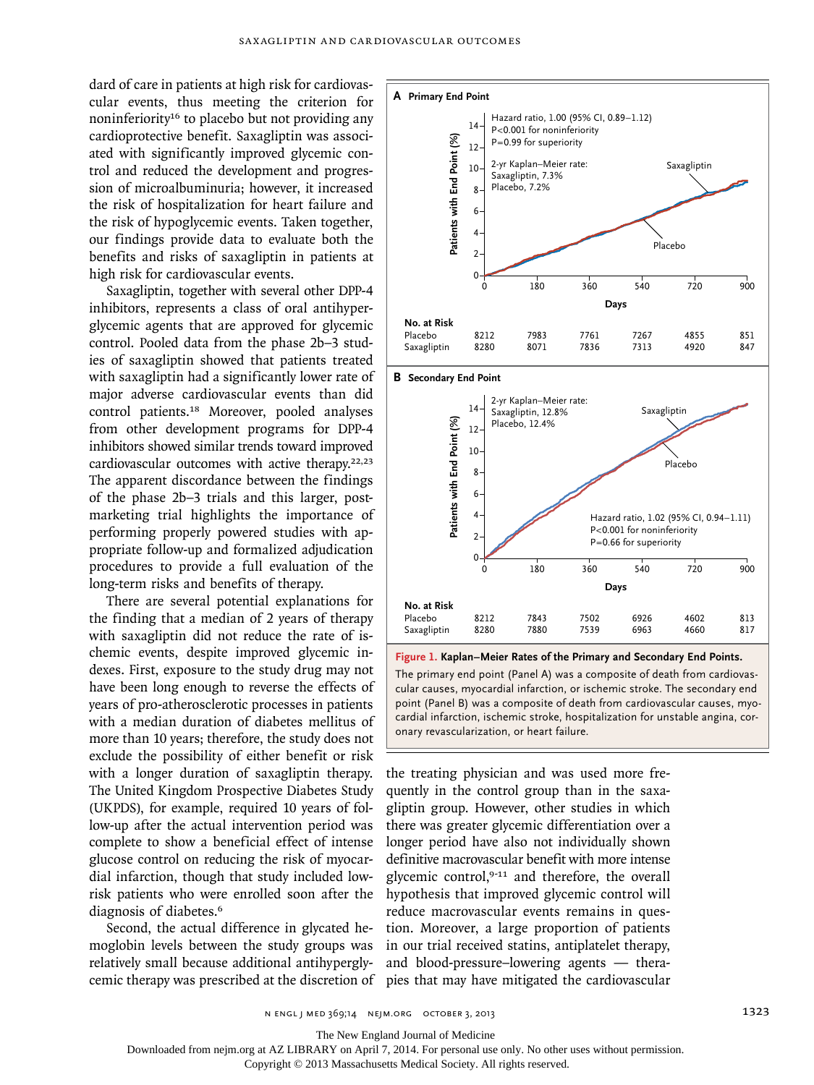dard of care in patients at high risk for cardiovascular events, thus meeting the criterion for noninferiority16 to placebo but not providing any cardioprotective benefit. Saxagliptin was associated with significantly improved glycemic control and reduced the development and progression of microalbuminuria; however, it increased the risk of hospitalization for heart failure and the risk of hypoglycemic events. Taken together, our findings provide data to evaluate both the benefits and risks of saxagliptin in patients at high risk for cardiovascular events.

Saxagliptin, together with several other DPP-4 inhibitors, represents a class of oral antihyperglycemic agents that are approved for glycemic control. Pooled data from the phase 2b–3 studies of saxagliptin showed that patients treated with saxagliptin had a significantly lower rate of major adverse cardiovascular events than did control patients.18 Moreover, pooled analyses from other development programs for DPP-4 inhibitors showed similar trends toward improved cardiovascular outcomes with active therapy.22,23 The apparent discordance between the findings of the phase 2b–3 trials and this larger, postmarketing trial highlights the importance of performing properly powered studies with appropriate follow-up and formalized adjudication procedures to provide a full evaluation of the long-term risks and benefits of therapy.

There are several potential explanations for the finding that a median of 2 years of therapy with saxagliptin did not reduce the rate of ischemic events, despite improved glycemic indexes. First, exposure to the study drug may not have been long enough to reverse the effects of years of pro-atherosclerotic processes in patients with a median duration of diabetes mellitus of more than 10 years; therefore, the study does not exclude the possibility of either benefit or risk with a longer duration of saxagliptin therapy. The United Kingdom Prospective Diabetes Study (UKPDS), for example, required 10 years of follow-up after the actual intervention period was complete to show a beneficial effect of intense glucose control on reducing the risk of myocardial infarction, though that study included lowrisk patients who were enrolled soon after the diagnosis of diabetes.<sup>6</sup>

Second, the actual difference in glycated hemoglobin levels between the study groups was relatively small because additional antihyperglycemic therapy was prescribed at the discretion of



Saxagliptin 8280 7880 7539 6963 4660 817 **Figure 1. Kaplan–Meier Rates of the Primary and Secondary End Points.** The primary end point (Panel A) was a composite of death from cardiovascular causes, myocardial infarction, or ischemic stroke. The secondary end

7502

6926

4602

813

7843

point (Panel B) was a composite of death from cardiovascular causes, myocardial infarction, ischemic stroke, hospitalization for unstable angina, coronary revascularization, or heart failure.

the treating physician and was used more frequently in the control group than in the saxagliptin group. However, other studies in which there was greater glycemic differentiation over a longer period have also not individually shown definitive macrovascular benefit with more intense glycemic control,<sup>9-11</sup> and therefore, the overall hypothesis that improved glycemic control will reduce macrovascular events remains in question. Moreover, a large proportion of patients in our trial received statins, antiplatelet therapy, and blood-pressure–lowering agents — thera-

The New England Journal of Medicine

Downloaded from nejm.org at AZ LIBRARY on April 7, 2014. For personal use only. No other uses without permission.

Copyright © 2013 Massachusetts Medical Society. All rights reserved.

**No. at Risk** Placebo

8212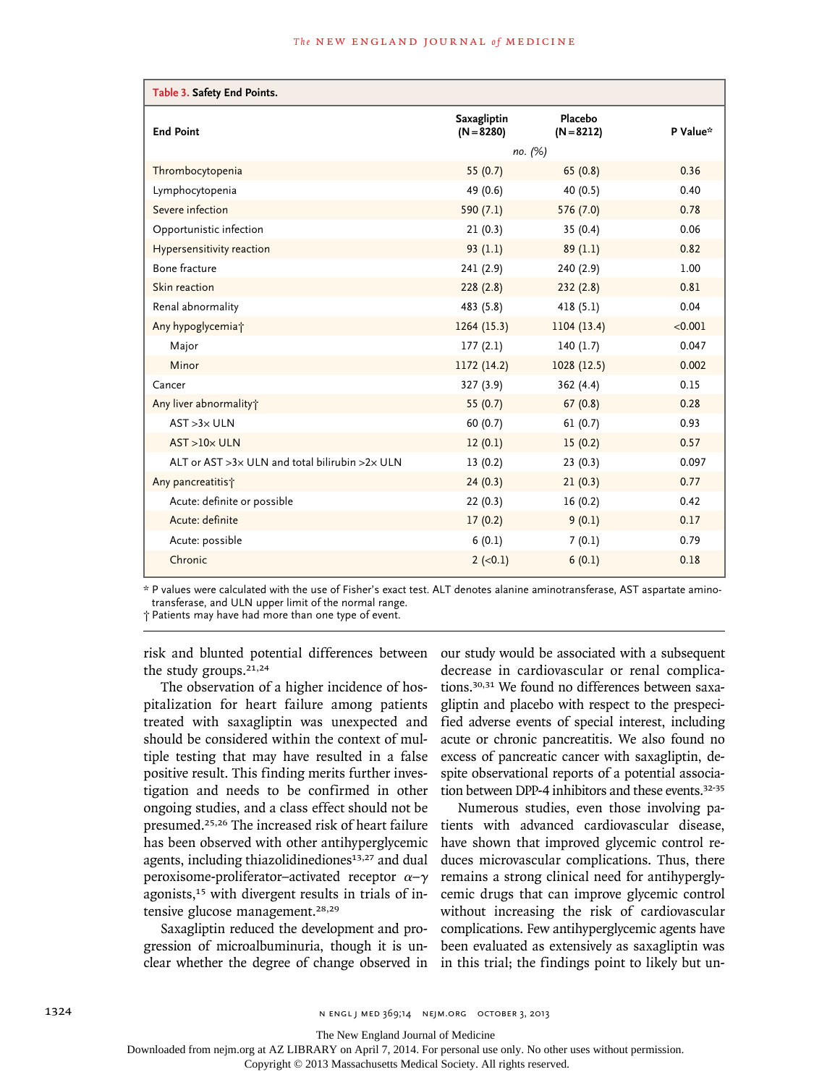| Table 3. Safety End Points.                                  |                             |                         |          |
|--------------------------------------------------------------|-----------------------------|-------------------------|----------|
| <b>End Point</b>                                             | Saxagliptin<br>$(N = 8280)$ | Placebo<br>$(N = 8212)$ | P Value* |
|                                                              | no. (%)                     |                         |          |
| Thrombocytopenia                                             | 55 $(0.7)$                  | 65(0.8)                 | 0.36     |
| Lymphocytopenia                                              | 49 (0.6)                    | 40 (0.5)                | 0.40     |
| Severe infection                                             | 590 $(7.1)$                 | 576 (7.0)               | 0.78     |
| Opportunistic infection                                      | 21(0.3)                     | 35(0.4)                 | 0.06     |
| Hypersensitivity reaction                                    | 93(1.1)                     | 89(1.1)                 | 0.82     |
| Bone fracture                                                | 241 (2.9)                   | 240 (2.9)               | 1.00     |
| Skin reaction                                                | 228(2.8)                    | 232(2.8)                | 0.81     |
| Renal abnormality                                            | 483 (5.8)                   | 418(5.1)                | 0.04     |
| Any hypoglycemia <sup>+</sup>                                | 1264(15.3)                  | 1104 (13.4)             | < 0.001  |
| Major                                                        | 177(2.1)                    | 140(1.7)                | 0.047    |
| Minor                                                        | 1172 (14.2)                 | 1028(12.5)              | 0.002    |
| Cancer                                                       | 327 (3.9)                   | 362 (4.4)               | 0.15     |
| Any liver abnormality;                                       | 55 $(0.7)$                  | 67(0.8)                 | 0.28     |
| $AST > 3 \times ULN$                                         | 60(0.7)                     | 61(0.7)                 | 0.93     |
| $AST > 10 \times ULN$                                        | 12(0.1)                     | 15(0.2)                 | 0.57     |
| ALT or AST $>3\times$ ULN and total bilirubin $>2\times$ ULN | 13(0.2)                     | 23(0.3)                 | 0.097    |
| Any pancreatitis?                                            | 24(0.3)                     | 21(0.3)                 | 0.77     |
| Acute: definite or possible                                  | 22(0.3)                     | 16(0.2)                 | 0.42     |
| Acute: definite                                              | 17(0.2)                     | 9(0.1)                  | 0.17     |
| Acute: possible                                              | 6(0.1)                      | 7(0.1)                  | 0.79     |
| Chronic                                                      | $2 (-0.1)$                  | 6(0.1)                  | 0.18     |

\* P values were calculated with the use of Fisher's exact test. ALT denotes alanine aminotransferase, AST aspartate aminotransferase, and ULN upper limit of the normal range.

† Patients may have had more than one type of event.

risk and blunted potential differences between the study groups.<sup>21,24</sup>

The observation of a higher incidence of hospitalization for heart failure among patients treated with saxagliptin was unexpected and should be considered within the context of multiple testing that may have resulted in a false positive result. This finding merits further investigation and needs to be confirmed in other ongoing studies, and a class effect should not be presumed.25,26 The increased risk of heart failure has been observed with other antihyperglycemic agents, including thiazolidinediones<sup>13,27</sup> and dual peroxisome-proliferator–activated receptor  $\alpha-\gamma$ agonists,<sup>15</sup> with divergent results in trials of intensive glucose management.28,29

Saxagliptin reduced the development and progression of microalbuminuria, though it is unclear whether the degree of change observed in our study would be associated with a subsequent decrease in cardiovascular or renal complications.30,31 We found no differences between saxagliptin and placebo with respect to the prespecified adverse events of special interest, including acute or chronic pancreatitis. We also found no excess of pancreatic cancer with saxagliptin, despite observational reports of a potential association between DPP-4 inhibitors and these events.<sup>32-35</sup>

Numerous studies, even those involving patients with advanced cardiovascular disease, have shown that improved glycemic control reduces microvascular complications. Thus, there remains a strong clinical need for antihyperglycemic drugs that can improve glycemic control without increasing the risk of cardiovascular complications. Few antihyperglycemic agents have been evaluated as extensively as saxagliptin was in this trial; the findings point to likely but un-

The New England Journal of Medicine

Downloaded from nejm.org at AZ LIBRARY on April 7, 2014. For personal use only. No other uses without permission.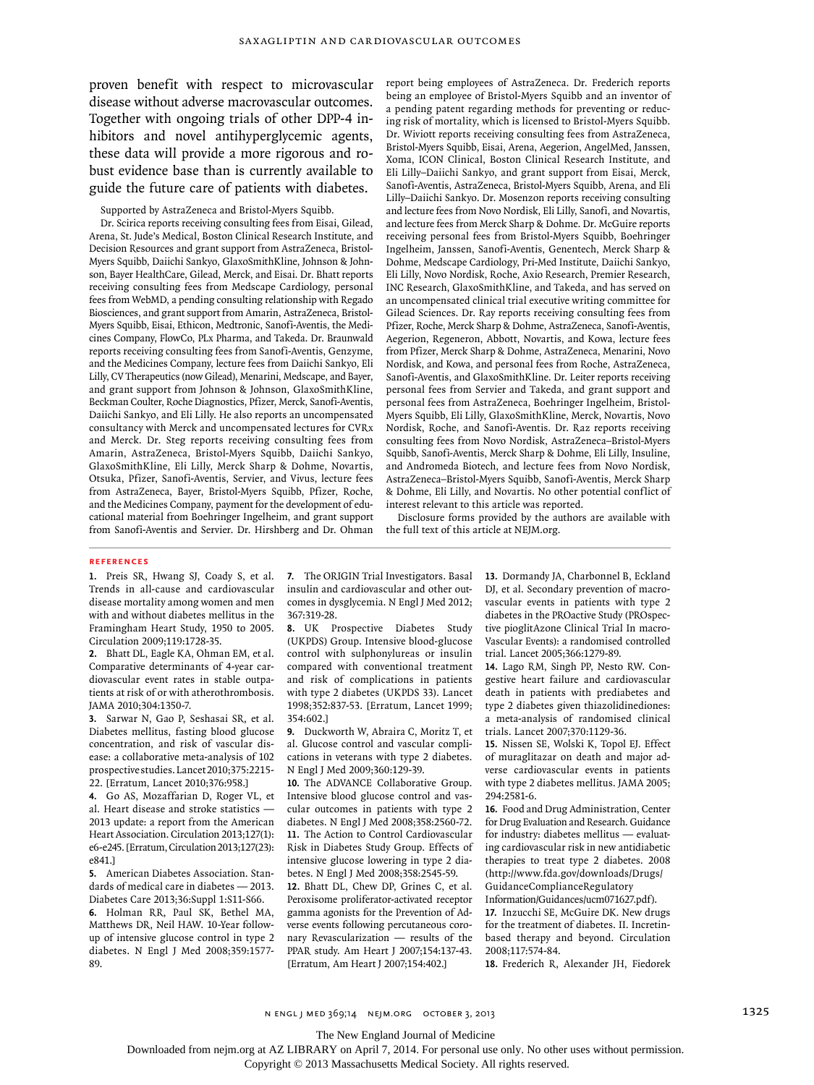proven benefit with respect to microvascular disease without adverse macrovascular outcomes. Together with ongoing trials of other DPP-4 inhibitors and novel antihyperglycemic agents, these data will provide a more rigorous and robust evidence base than is currently available to guide the future care of patients with diabetes.

Supported by AstraZeneca and Bristol-Myers Squibb.

Dr. Scirica reports receiving consulting fees from Eisai, Gilead, Arena, St. Jude's Medical, Boston Clinical Research Institute, and Decision Resources and grant support from AstraZeneca, Bristol-Myers Squibb, Daiichi Sankyo, GlaxoSmithKline, Johnson & Johnson, Bayer HealthCare, Gilead, Merck, and Eisai. Dr. Bhatt reports receiving consulting fees from Medscape Cardiology, personal fees from WebMD, a pending consulting relationship with Regado Biosciences, and grant support from Amarin, AstraZeneca, Bristol-Myers Squibb, Eisai, Ethicon, Medtronic, Sanofi-Aventis, the Medicines Company, FlowCo, PLx Pharma, and Takeda. Dr. Braunwald reports receiving consulting fees from Sanofi-Aventis, Genzyme, and the Medicines Company, lecture fees from Daiichi Sankyo, Eli Lilly, CV Therapeutics (now Gilead), Menarini, Medscape, and Bayer, and grant support from Johnson & Johnson, GlaxoSmithKline, Beckman Coulter, Roche Diagnostics, Pfizer, Merck, Sanofi-Aventis, Daiichi Sankyo, and Eli Lilly. He also reports an uncompensated consultancy with Merck and uncompensated lectures for CVRx and Merck. Dr. Steg reports receiving consulting fees from Amarin, AstraZeneca, Bristol-Myers Squibb, Daiichi Sankyo, GlaxoSmithKline, Eli Lilly, Merck Sharp & Dohme, Novartis, Otsuka, Pfizer, Sanofi-Aventis, Servier, and Vivus, lecture fees from AstraZeneca, Bayer, Bristol-Myers Squibb, Pfizer, Roche, and the Medicines Company, payment for the development of educational material from Boehringer Ingelheim, and grant support from Sanofi-Aventis and Servier. Dr. Hirshberg and Dr. Ohman report being employees of AstraZeneca. Dr. Frederich reports being an employee of Bristol-Myers Squibb and an inventor of a pending patent regarding methods for preventing or reducing risk of mortality, which is licensed to Bristol-Myers Squibb. Dr. Wiviott reports receiving consulting fees from AstraZeneca, Bristol-Myers Squibb, Eisai, Arena, Aegerion, AngelMed, Janssen, Xoma, ICON Clinical, Boston Clinical Research Institute, and Eli Lilly–Daiichi Sankyo, and grant support from Eisai, Merck, Sanofi-Aventis, AstraZeneca, Bristol-Myers Squibb, Arena, and Eli Lilly–Daiichi Sankyo. Dr. Mosenzon reports receiving consulting and lecture fees from Novo Nordisk, Eli Lilly, Sanofi, and Novartis, and lecture fees from Merck Sharp & Dohme. Dr. McGuire reports receiving personal fees from Bristol-Myers Squibb, Boehringer Ingelheim, Janssen, Sanofi-Aventis, Genentech, Merck Sharp & Dohme, Medscape Cardiology, Pri-Med Institute, Daiichi Sankyo, Eli Lilly, Novo Nordisk, Roche, Axio Research, Premier Research, INC Research, GlaxoSmithKline, and Takeda, and has served on an uncompensated clinical trial executive writing committee for Gilead Sciences. Dr. Ray reports receiving consulting fees from Pfizer, Roche, Merck Sharp & Dohme, AstraZeneca, Sanofi-Aventis, Aegerion, Regeneron, Abbott, Novartis, and Kowa, lecture fees from Pfizer, Merck Sharp & Dohme, AstraZeneca, Menarini, Novo Nordisk, and Kowa, and personal fees from Roche, AstraZeneca, Sanofi-Aventis, and GlaxoSmithKline. Dr. Leiter reports receiving personal fees from Servier and Takeda, and grant support and personal fees from AstraZeneca, Boehringer Ingelheim, Bristol-Myers Squibb, Eli Lilly, GlaxoSmithKline, Merck, Novartis, Novo Nordisk, Roche, and Sanofi-Aventis. Dr. Raz reports receiving consulting fees from Novo Nordisk, AstraZeneca–Bristol-Myers Squibb, Sanofi-Aventis, Merck Sharp & Dohme, Eli Lilly, Insuline, and Andromeda Biotech, and lecture fees from Novo Nordisk, AstraZeneca–Bristol-Myers Squibb, Sanofi-Aventis, Merck Sharp & Dohme, Eli Lilly, and Novartis. No other potential conflict of interest relevant to this article was reported.

Disclosure forms provided by the authors are available with the full text of this article at NEJM.org.

#### **References**

**1.** Preis SR, Hwang SJ, Coady S, et al. Trends in all-cause and cardiovascular disease mortality among women and men with and without diabetes mellitus in the Framingham Heart Study, 1950 to 2005. Circulation 2009;119:1728-35.

**2.** Bhatt DL, Eagle KA, Ohman EM, et al. Comparative determinants of 4-year cardiovascular event rates in stable outpatients at risk of or with atherothrombosis. JAMA 2010;304:1350-7.

**3.** Sarwar N, Gao P, Seshasai SR, et al. Diabetes mellitus, fasting blood glucose concentration, and risk of vascular disease: a collaborative meta-analysis of 102 prospective studies. Lancet 2010;375:2215- 22. [Erratum, Lancet 2010;376:958.]

**4.** Go AS, Mozaffarian D, Roger VL, et al. Heart disease and stroke statistics — 2013 update: a report from the American Heart Association. Circulation 2013;127(1): e6-e245. [Erratum, Circulation 2013;127(23): e841.]

**5.** American Diabetes Association. Standards of medical care in diabetes — 2013. Diabetes Care 2013;36:Suppl 1:S11-S66. **6.** Holman RR, Paul SK, Bethel MA, Matthews DR, Neil HAW. 10-Year followup of intensive glucose control in type 2 diabetes. N Engl J Med 2008;359:1577- 89.

**7.** The ORIGIN Trial Investigators. Basal insulin and cardiovascular and other outcomes in dysglycemia. N Engl J Med 2012; 367:319-28.

**8.** UK Prospective Diabetes Study (UKPDS) Group. Intensive blood-glucose control with sulphonylureas or insulin compared with conventional treatment and risk of complications in patients with type 2 diabetes (UKPDS 33). Lancet 1998;352:837-53. [Erratum, Lancet 1999; 354:602.]

**9.** Duckworth W, Abraira C, Moritz T, et al. Glucose control and vascular complications in veterans with type 2 diabetes. N Engl J Med 2009;360:129-39.

**10.** The ADVANCE Collaborative Group. Intensive blood glucose control and vascular outcomes in patients with type 2 diabetes. N Engl J Med 2008;358:2560-72. **11.** The Action to Control Cardiovascular Risk in Diabetes Study Group. Effects of intensive glucose lowering in type 2 diabetes. N Engl J Med 2008;358:2545-59.

**12.** Bhatt DL, Chew DP, Grines C, et al. Peroxisome proliferator-activated receptor gamma agonists for the Prevention of Adverse events following percutaneous coronary Revascularization — results of the PPAR study. Am Heart J 2007;154:137-43. [Erratum, Am Heart J 2007;154:402.]

**13.** Dormandy JA, Charbonnel B, Eckland DJ, et al. Secondary prevention of macrovascular events in patients with type 2 diabetes in the PROactive Study (PROspective pioglitAzone Clinical Trial In macro-Vascular Events): a randomised controlled trial. Lancet 2005;366:1279-89.

**14.** Lago RM, Singh PP, Nesto RW. Congestive heart failure and cardiovascular death in patients with prediabetes and type 2 diabetes given thiazolidinediones: a meta-analysis of randomised clinical trials. Lancet 2007;370:1129-36.

**15.** Nissen SE, Wolski K, Topol EJ. Effect of muraglitazar on death and major adverse cardiovascular events in patients with type 2 diabetes mellitus. JAMA 2005; 294:2581-6.

**16.** Food and Drug Administration, Center for Drug Evaluation and Research. Guidance for industry: diabetes mellitus — evaluating cardiovascular risk in new antidiabetic therapies to treat type 2 diabetes. 2008 (http://www.fda.gov/downloads/Drugs/ GuidanceComplianceRegulatory

Information/Guidances/ucm071627.pdf).

**17.** Inzucchi SE, McGuire DK. New drugs for the treatment of diabetes. II. Incretinbased therapy and beyond. Circulation 2008;117:574-84.

**18.** Frederich R, Alexander JH, Fiedorek

The New England Journal of Medicine

Downloaded from nejm.org at AZ LIBRARY on April 7, 2014. For personal use only. No other uses without permission.